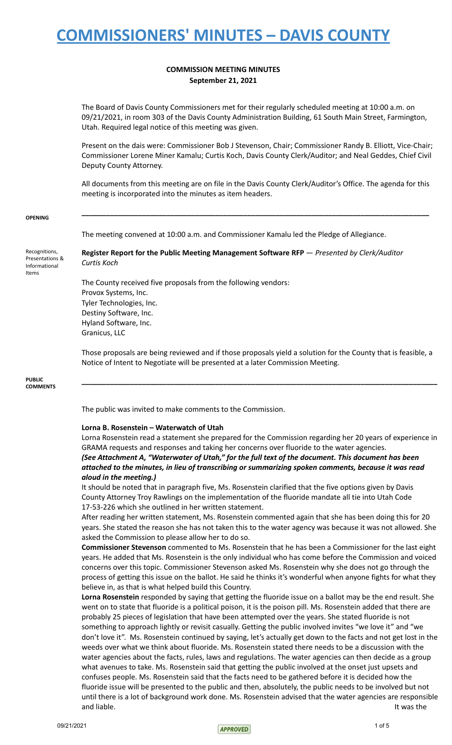## **COMMISSION MEETING MINUTES September 21, 2021**

The Board of Davis County Commissioners met for their regularly scheduled meeting at 10:00 a.m. on 09/21/2021, in room 303 of the Davis County Administration Building, 61 South Main Street, Farmington, Utah. Required legal notice of this meeting was given.

Present on the dais were: Commissioner Bob J Stevenson, Chair; Commissioner Randy B. Elliott, Vice-Chair; Commissioner Lorene Miner Kamalu; Curtis Koch, Davis County Clerk/Auditor; and Neal Geddes, Chief Civil Deputy County Attorney.

All documents from this meeting are on file in the Davis County Clerk/Auditor's Office. The agenda for this meeting is incorporated into the minutes as item headers.

**\_\_\_\_\_\_\_\_\_\_\_\_\_\_\_\_\_\_\_\_\_\_\_\_\_\_\_\_\_\_\_\_\_\_\_\_\_\_\_\_\_\_\_\_\_\_\_\_\_\_\_\_\_\_\_\_\_\_\_\_\_\_\_\_\_\_\_\_\_\_\_\_\_\_\_\_\_\_\_\_\_\_\_\_\_\_**

#### **OPENING**

The meeting convened at 10:00 a.m. and Commissioner Kamalu led the Pledge of Allegiance.

Recognitions, Presentations & Informational Items **Register Report for the Public Meeting Management Software RFP** — *Presented by Clerk/Auditor Curtis Koch*

> The County received five proposals from the following vendors: Provox Systems, Inc. Tyler Technologies, Inc. Destiny Software, Inc. Hyland Software, Inc. Granicus, LLC

Those proposals are being reviewed and if those proposals yield a solution for the County that is feasible, a Notice of Intent to Negotiate will be presented at a later Commission Meeting.

**\_\_\_\_\_\_\_\_\_\_\_\_\_\_\_\_\_\_\_\_\_\_\_\_\_\_\_\_\_\_\_\_\_\_\_\_\_\_\_\_\_\_\_\_\_\_\_\_\_\_\_\_\_\_\_\_\_\_\_\_\_\_\_\_\_\_\_\_\_\_\_\_\_\_\_\_\_\_\_\_\_\_\_\_\_\_\_\_**

**PUBLIC COMMENTS**

The public was invited to make comments to the Commission.

### **Lorna B. Rosenstein – Waterwatch of Utah**

Lorna Rosenstein read a statement she prepared for the Commission regarding her 20 years of experience in GRAMA requests and responses and taking her concerns over fluoride to the water agencies. *(See Attachment A, "Waterwater of Utah," for the full text of the document. This document has been attached to the minutes, in lieu of transcribing or summarizing spoken comments, because it was read aloud in the meeting.)*

It should be noted that in paragraph five, Ms. Rosenstein clarified that the five options given by Davis County Attorney Troy Rawlings on the implementation of the fluoride mandate all tie into Utah Code 17-53-226 which she outlined in her written statement.

After reading her written statement, Ms. Rosenstein commented again that she has been doing this for 20 years. She stated the reason she has not taken this to the water agency was because it was not allowed. She asked the Commission to please allow her to do so.

**Commissioner Stevenson** commented to Ms. Rosenstein that he has been a Commissioner for the last eight years. He added that Ms. Rosenstein is the only individual who has come before the Commission and voiced concerns over this topic. Commissioner Stevenson asked Ms. Rosenstein why she does not go through the process of getting this issue on the ballot. He said he thinks it's wonderful when anyone fights for what they believe in, as that is what helped build this Country.

**Lorna Rosenstein** responded by saying that getting the fluoride issue on a ballot may be the end result. She went on to state that fluoride is a political poison, it is the poison pill. Ms. Rosenstein added that there are probably 25 pieces of legislation that have been attempted over the years. She stated fluoride is not something to approach lightly or revisit casually. Getting the public involved invites "we love it" and "we don't love it". Ms. Rosenstein continued by saying, let's actually get down to the facts and not get lost in the weeds over what we think about fluoride. Ms. Rosenstein stated there needs to be a discussion with the water agencies about the facts, rules, laws and regulations. The water agencies can then decide as a group what avenues to take. Ms. Rosenstein said that getting the public involved at the onset just upsets and confuses people. Ms. Rosenstein said that the facts need to be gathered before it is decided how the fluoride issue will be presented to the public and then, absolutely, the public needs to be involved but not until there is a lot of background work done. Ms. Rosenstein advised that the water agencies are responsible and liable. It was the set of the set of the set of the set of the set of the set of the set of the set of the set of the set of the set of the set of the set of the set of the set of the set of the set of the set of the s

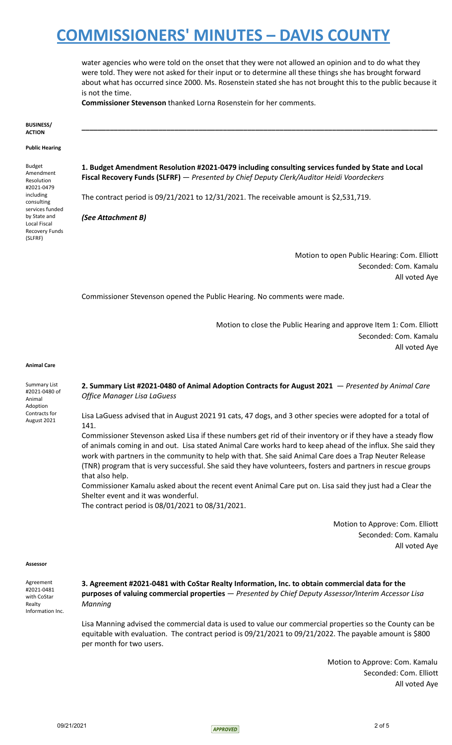water agencies who were told on the onset that they were not allowed an opinion and to do what they were told. They were not asked for their input or to determine all these things she has brought forward about what has occurred since 2000. Ms. Rosenstein stated she has not brought this to the public because it is not the time.

**\_\_\_\_\_\_\_\_\_\_\_\_\_\_\_\_\_\_\_\_\_\_\_\_\_\_\_\_\_\_\_\_\_\_\_\_\_\_\_\_\_\_\_\_\_\_\_\_\_\_\_\_\_\_\_\_\_\_\_\_\_\_\_\_\_\_\_\_\_\_\_\_\_\_\_\_\_\_\_\_\_\_\_\_\_\_\_\_**

**Commissioner Stevenson** thanked Lorna Rosenstein for her comments.

#### **BUSINESS/ ACTION**

**Public Hearing**

Budget Amendment Resolution #2021-0479 including consulting services funded by State and Local Fiscal Recovery Funds (SLFRF)

**1. Budget Amendment Resolution #2021-0479 including consulting services funded by State and Local Fiscal Recovery Funds (SLFRF)** — *Presented by Chief Deputy Clerk/Auditor Heidi Voordeckers*

The contract period is 09/21/2021 to 12/31/2021. The receivable amount is \$2,531,719.

*(See Attachment B)*

Motion to open Public Hearing: Com. Elliott Seconded: Com. Kamalu All voted Aye

Commissioner Stevenson opened the Public Hearing. No comments were made.

Motion to close the Public Hearing and approve Item 1: Com. Elliott Seconded: Com. Kamalu All voted Aye

#### **Animal Care**

Summary List #2021-0480 of Animal Adoption Contracts for August 2021

**2. Summary List #2021-0480 of Animal Adoption Contracts for August 2021** — *Presented by Animal Care Office Manager Lisa LaGuess*

Lisa LaGuess advised that in August 2021 91 cats, 47 dogs, and 3 other species were adopted for a total of 141.

Commissioner Stevenson asked Lisa if these numbers get rid of their inventory or if they have a steady flow of animals coming in and out. Lisa stated Animal Care works hard to keep ahead of the influx. She said they work with partners in the community to help with that. She said Animal Care does a Trap Neuter Release (TNR) program that is very successful. She said they have volunteers, fosters and partners in rescue groups that also help.

Commissioner Kamalu asked about the recent event Animal Care put on. Lisa said they just had a Clear the Shelter event and it was wonderful.

The contract period is 08/01/2021 to 08/31/2021.

Motion to Approve: Com. Elliott Seconded: Com. Kamalu All voted Aye

#### **Assessor**

| Agreement        |
|------------------|
| #2021-0481       |
| with CoStar      |
| Realty           |
| Information Inc. |
|                  |

**3. Agreement #2021-0481 with CoStar Realty Information, Inc. to obtain commercial data for the purposes of valuing commercial properties** — *Presented by Chief Deputy Assessor/Interim Accessor Lisa Manning*

Lisa Manning advised the commercial data is used to value our commercial properties so the County can be equitable with evaluation. The contract period is 09/21/2021 to 09/21/2022. The payable amount is \$800 per month for two users.

> Motion to Approve: Com. Kamalu Seconded: Com. Elliott All voted Aye

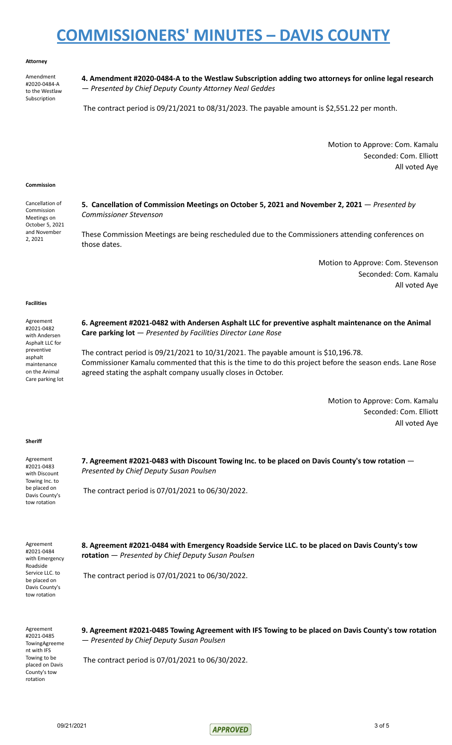#### **Attorney**

Amendment #2020-0484-A to the Westlaw Subscription

**4. Amendment #2020-0484-A to the Westlaw Subscription adding two attorneys for online legal research** — *Presented by Chief Deputy County Attorney Neal Geddes*

The contract period is 09/21/2021 to 08/31/2023. The payable amount is \$2,551.22 per month.

Motion to Approve: Com. Kamalu Seconded: Com. Elliott All voted Aye

#### **Commission**

Cancellation of Commission Meetings on October 5, 2021 and November 2, 2021

**5. Cancellation of Commission Meetings on October 5, 2021 and November 2, 2021** — *Presented by Commissioner Stevenson*

These Commission Meetings are being rescheduled due to the Commissioners attending conferences on those dates.

> Motion to Approve: Com. Stevenson Seconded: Com. Kamalu All voted Aye

### **Facilities**

Agreement #2021-0482 with Andersen Asphalt LLC for preventive asphalt maintenance on the Animal Care parking lot **6. Agreement #2021-0482 with Andersen Asphalt LLC for preventive asphalt maintenance on the Animal Care parking lot** — *Presented by Facilities Director Lane Rose* The contract period is 09/21/2021 to 10/31/2021. The payable amount is \$10,196.78. Commissioner Kamalu commented that this is the time to do this project before the season ends. Lane Rose agreed stating the asphalt company usually closes in October.

> Motion to Approve: Com. Kamalu Seconded: Com. Elliott All voted Aye

#### **Sheriff**

Agreement #2021-0483 with Discount Towing Inc. to be placed on Davis County's tow rotation

**7. Agreement #2021-0483 with Discount Towing Inc. to be placed on Davis County's tow rotation** — *Presented by Chief Deputy Susan Poulsen*

The contract period is 07/01/2021 to 06/30/2022.

Agreement #2021-0484 with Emergency Roadside Service LLC. to be placed on Davis County's tow rotation

**8. Agreement #2021-0484 with Emergency Roadside Service LLC. to be placed on Davis County's tow rotation** — *Presented by Chief Deputy Susan Poulsen*

The contract period is 07/01/2021 to 06/30/2022.

Agreement #2021-0485 TowingAgreeme nt with IFS Towing to be placed on Davis County's tow rotation

**9. Agreement #2021-0485 Towing Agreement with IFS Towing to be placed on Davis County's tow rotation** — *Presented by Chief Deputy Susan Poulsen*

The contract period is 07/01/2021 to 06/30/2022.

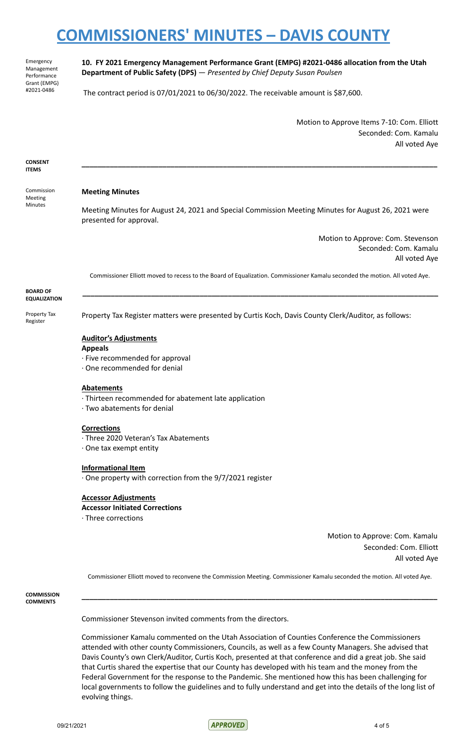Emergency Management Performance Grant (EMPG) #2021-0486

**10. FY 2021 Emergency Management Performance Grant (EMPG) #2021-0486 allocation from the Utah Department of Public Safety (DPS)** — *Presented by Chief Deputy Susan Poulsen*

The contract period is 07/01/2021 to 06/30/2022. The receivable amount is \$87,600.

Motion to Approve Items 7-10: Com. Elliott Seconded: Com. Kamalu All voted Aye

**CONSENT ITEMS**

Commission Meeting Minutes

## **Meeting Minutes**

Meeting Minutes for August 24, 2021 and Special Commission Meeting Minutes for August 26, 2021 were presented for approval.

**\_\_\_\_\_\_\_\_\_\_\_\_\_\_\_\_\_\_\_\_\_\_\_\_\_\_\_\_\_\_\_\_\_\_\_\_\_\_\_\_\_\_\_\_\_\_\_\_\_\_\_\_\_\_\_\_\_\_\_\_\_\_\_\_\_\_\_\_\_\_\_\_\_\_\_\_\_\_\_\_\_\_\_\_\_\_\_\_**

Motion to Approve: Com. Stevenson Seconded: Com. Kamalu All voted Aye

Commissioner Elliott moved to recess to the Board of Equalization. Commissioner Kamalu seconded the motion. All voted Aye.

**\_\_\_\_\_\_\_\_\_\_\_\_\_\_\_\_\_\_\_\_\_\_\_\_\_\_\_\_\_\_\_\_\_\_\_\_\_\_\_\_\_\_\_\_\_\_\_\_\_\_\_\_\_\_\_\_\_\_\_\_\_\_\_\_\_\_\_\_\_\_\_\_\_\_\_\_\_\_\_\_\_\_\_\_\_\_\_\_**

**BOARD OF EQUALIZATION**

Property Tax Register

Property Tax Register matters were presented by Curtis Koch, Davis County Clerk/Auditor, as follows:

## **Auditor's Adjustments**

### **Appeals**

- · Five recommended for approval
- · One recommended for denial

#### **Abatements**

- · Thirteen recommended for abatement late application
- · Two abatements for denial

### **Corrections**

- · Three 2020 Veteran's Tax Abatements
- · One tax exempt entity

### **Informational Item**

· One property with correction from the 9/7/2021 register

## **Accessor Adjustments**

## **Accessor Initiated Corrections**

· Three corrections

Motion to Approve: Com. Kamalu Seconded: Com. Elliott All voted Aye

Commissioner Elliott moved to reconvene the Commission Meeting. Commissioner Kamalu seconded the motion. All voted Aye.

**\_\_\_\_\_\_\_\_\_\_\_\_\_\_\_\_\_\_\_\_\_\_\_\_\_\_\_\_\_\_\_\_\_\_\_\_\_\_\_\_\_\_\_\_\_\_\_\_\_\_\_\_\_\_\_\_\_\_\_\_\_\_\_\_\_\_\_\_\_\_\_\_\_\_\_\_\_\_\_\_\_\_\_\_\_\_\_\_**

**COMMISSION COMMENTS**

Commissioner Stevenson invited comments from the directors.

Commissioner Kamalu commented on the Utah Association of Counties Conference the Commissioners attended with other county Commissioners, Councils, as well as a few County Managers. She advised that Davis County's own Clerk/Auditor, Curtis Koch, presented at that conference and did a great job. She said that Curtis shared the expertise that our County has developed with his team and the money from the Federal Government for the response to the Pandemic. She mentioned how this has been challenging for local governments to follow the guidelines and to fully understand and get into the details of the long list of evolving things.

09/21/2021 4 of 5